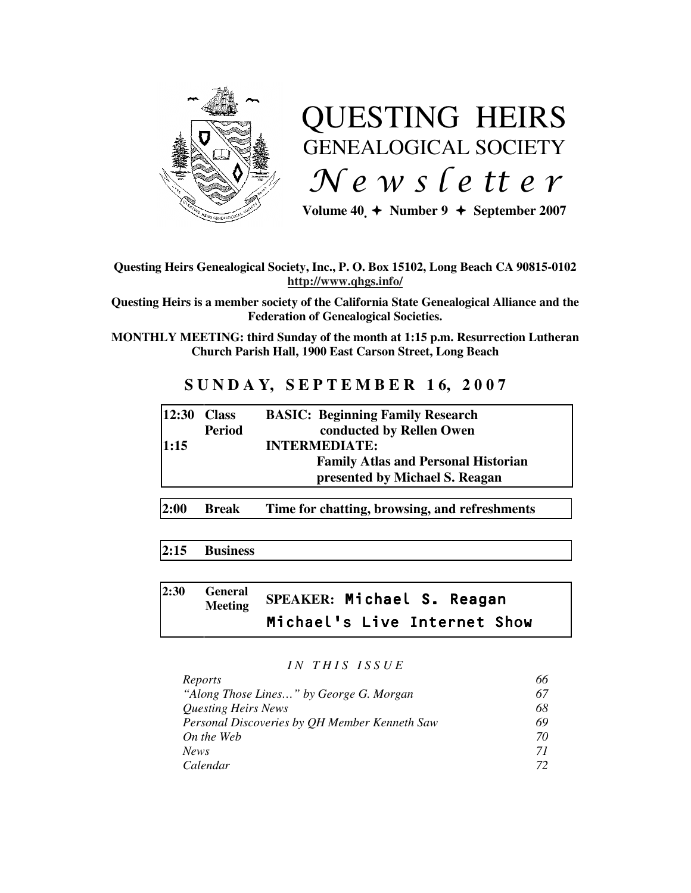

# QUESTING HEIRS GENEALOGICAL SOCIETY  $Ne$  w s letter

Volume  $40 \div \text{Number } 9 \div \text{September } 2007$ 

# **Questing Heirs Genealogical Society, Inc., P. O. Box 15102, Long Beach CA 90815-0102 http://www.qhgs.info/**

**Questing Heirs is a member society of the California State Genealogical Alliance and the Federation of Genealogical Societies.** 

**MONTHLY MEETING: third Sunday of the month at 1:15 p.m. Resurrection Lutheran Church Parish Hall, 1900 East Carson Street, Long Beach** 

# **S U N D A Y, S E P T E M B E R 1 6, 2 0 0 7**

| $ 12:30$ Class |               | <b>BASIC: Beginning Family Research</b>    |
|----------------|---------------|--------------------------------------------|
|                | <b>Period</b> | conducted by Rellen Owen                   |
| 1:15           |               | <b>INTERMEDIATE:</b>                       |
|                |               | <b>Family Atlas and Personal Historian</b> |
|                |               | presented by Michael S. Reagan             |
|                |               |                                            |

**2:00 Break Time for chatting, browsing, and refreshments** 

# **2:15 Business**

# **2:30 General Meeting SPEAKER:** Michael S. Reagan Michael's Live Internet Show

# *I N T H I S I S S U E*

| Reports                                       |    |
|-----------------------------------------------|----|
| "Along Those Lines" by George G. Morgan       | 67 |
| <i><b>Questing Heirs News</b></i>             | 68 |
| Personal Discoveries by QH Member Kenneth Saw | 69 |
| On the Web                                    | 70 |
| News.                                         | 71 |
| Calendar                                      | 72 |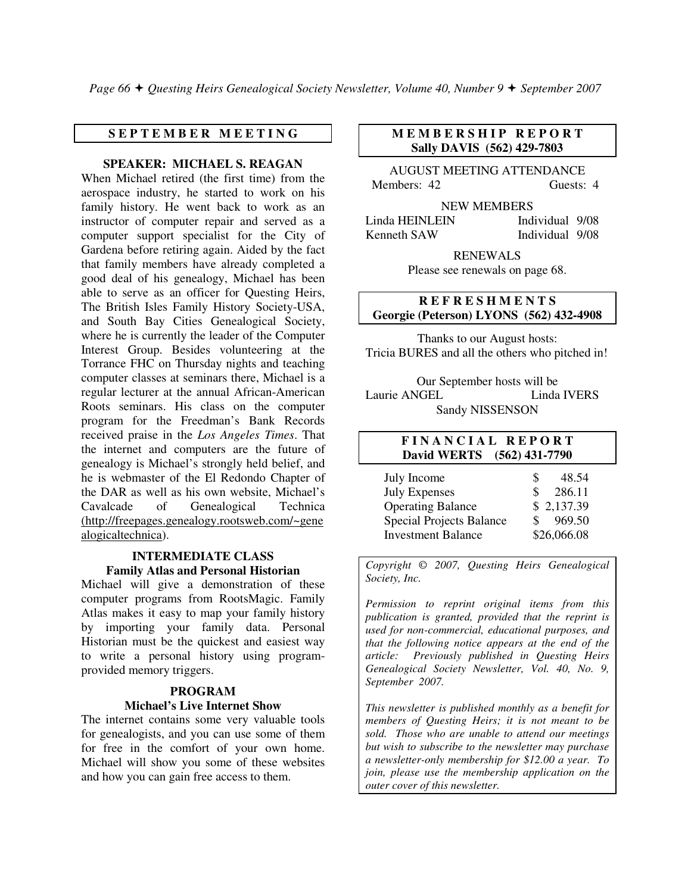*Page 66 Questing Heirs Genealogical Society Newsletter, Volume 40, Number 9 September 2007*

# **S E P T E M B E R M E E T I N G**

**SPEAKER: MICHAEL S. REAGAN** 

When Michael retired (the first time) from the aerospace industry, he started to work on his family history. He went back to work as an instructor of computer repair and served as a computer support specialist for the City of Gardena before retiring again. Aided by the fact that family members have already completed a good deal of his genealogy, Michael has been able to serve as an officer for Questing Heirs, The British Isles Family History Society-USA, and South Bay Cities Genealogical Society, where he is currently the leader of the Computer Interest Group. Besides volunteering at the Torrance FHC on Thursday nights and teaching computer classes at seminars there, Michael is a regular lecturer at the annual African-American Roots seminars. His class on the computer program for the Freedman's Bank Records received praise in the *Los Angeles Times*. That the internet and computers are the future of genealogy is Michael's strongly held belief, and he is webmaster of the El Redondo Chapter of the DAR as well as his own website, Michael's Cavalcade of Genealogical Technica (http://freepages.genealogy.rootsweb.com/~gene alogicaltechnica).

# **INTERMEDIATE CLASS Family Atlas and Personal Historian**

Michael will give a demonstration of these computer programs from RootsMagic. Family Atlas makes it easy to map your family history by importing your family data. Personal Historian must be the quickest and easiest way to write a personal history using programprovided memory triggers.

# **PROGRAM Michael's Live Internet Show**

The internet contains some very valuable tools for genealogists, and you can use some of them for free in the comfort of your own home. Michael will show you some of these websites and how you can gain free access to them.

# **M E M B E R S H I P R E P O R T Sally DAVIS (562) 429-7803**

AUGUST MEETING ATTENDANCE Members: 42 Guests: 4

NEW MEMBERS

Linda HEINLEIN Individual 9/08 Kenneth SAW Individual 9/08

> RENEWALS Please see renewals on page 68.

# **R E F R E S H M E N T S Georgie (Peterson) LYONS (562) 432-4908**

Thanks to our August hosts: Tricia BURES and all the others who pitched in!

Our September hosts will be Laurie ANGEL Linda IVERS Sandy NISSENSON

# **F I N A N C I A L R E P O R T David WERTS (562) 431-7790**

| July Income               | \$. | 48.54       |
|---------------------------|-----|-------------|
| <b>July Expenses</b>      | S   | 286.11      |
| <b>Operating Balance</b>  |     | \$2,137.39  |
| Special Projects Balance  |     | 969.50      |
| <b>Investment Balance</b> |     | \$26,066.08 |

*Copyright* © *2007, Questing Heirs Genealogical Society, Inc.* 

*Permission to reprint original items from this publication is granted, provided that the reprint is used for non-commercial, educational purposes, and that the following notice appears at the end of the article: Previously published in Questing Heirs Genealogical Society Newsletter, Vol. 40, No. 9, September 2007.* 

*This newsletter is published monthly as a benefit for members of Questing Heirs; it is not meant to be sold. Those who are unable to attend our meetings but wish to subscribe to the newsletter may purchase a newsletter-only membership for \$12.00 a year. To join, please use the membership application on the outer cover of this newsletter.*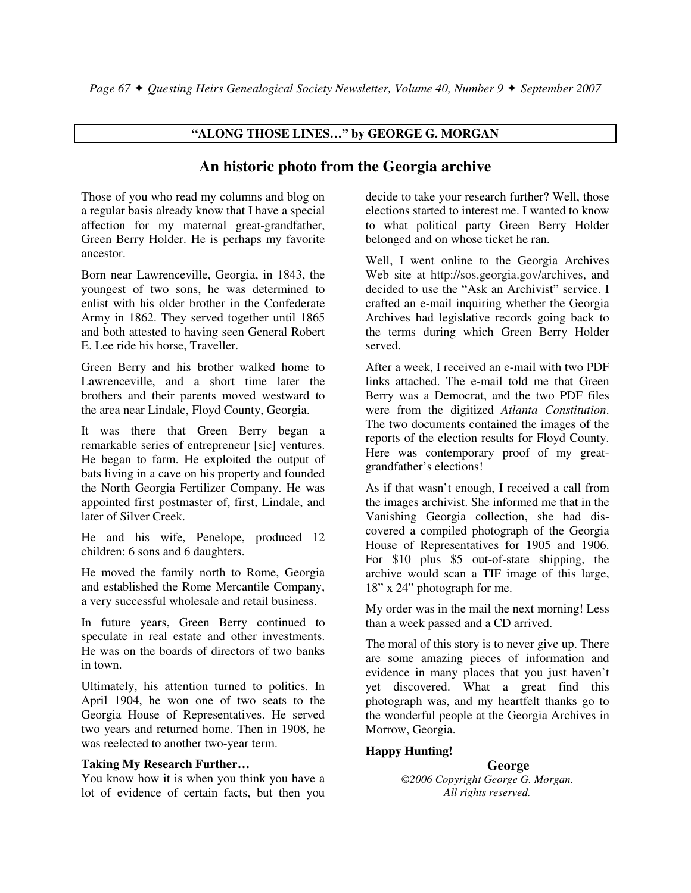# **"ALONG THOSE LINES…" by GEORGE G. MORGAN**

# **An historic photo from the Georgia archive**

Those of you who read my columns and blog on a regular basis already know that I have a special affection for my maternal great-grandfather, Green Berry Holder. He is perhaps my favorite ancestor.

Born near Lawrenceville, Georgia, in 1843, the youngest of two sons, he was determined to enlist with his older brother in the Confederate Army in 1862. They served together until 1865 and both attested to having seen General Robert E. Lee ride his horse, Traveller.

Green Berry and his brother walked home to Lawrenceville, and a short time later the brothers and their parents moved westward to the area near Lindale, Floyd County, Georgia.

It was there that Green Berry began a remarkable series of entrepreneur [sic] ventures. He began to farm. He exploited the output of bats living in a cave on his property and founded the North Georgia Fertilizer Company. He was appointed first postmaster of, first, Lindale, and later of Silver Creek.

He and his wife, Penelope, produced 12 children: 6 sons and 6 daughters.

He moved the family north to Rome, Georgia and established the Rome Mercantile Company, a very successful wholesale and retail business.

In future years, Green Berry continued to speculate in real estate and other investments. He was on the boards of directors of two banks in town.

Ultimately, his attention turned to politics. In April 1904, he won one of two seats to the Georgia House of Representatives. He served two years and returned home. Then in 1908, he was reelected to another two-year term.

# **Taking My Research Further…**

You know how it is when you think you have a lot of evidence of certain facts, but then you

decide to take your research further? Well, those elections started to interest me. I wanted to know to what political party Green Berry Holder belonged and on whose ticket he ran.

Well, I went online to the Georgia Archives Web site at http://sos.georgia.gov/archives, and decided to use the "Ask an Archivist" service. I crafted an e-mail inquiring whether the Georgia Archives had legislative records going back to the terms during which Green Berry Holder served.

After a week, I received an e-mail with two PDF links attached. The e-mail told me that Green Berry was a Democrat, and the two PDF files were from the digitized *Atlanta Constitution*. The two documents contained the images of the reports of the election results for Floyd County. Here was contemporary proof of my greatgrandfather's elections!

As if that wasn't enough, I received a call from the images archivist. She informed me that in the Vanishing Georgia collection, she had discovered a compiled photograph of the Georgia House of Representatives for 1905 and 1906. For \$10 plus \$5 out-of-state shipping, the archive would scan a TIF image of this large, 18" x 24" photograph for me.

My order was in the mail the next morning! Less than a week passed and a CD arrived.

The moral of this story is to never give up. There are some amazing pieces of information and evidence in many places that you just haven't yet discovered. What a great find this photograph was, and my heartfelt thanks go to the wonderful people at the Georgia Archives in Morrow, Georgia.

# **Happy Hunting!**

 **George**  *©2006 Copyright George G. Morgan. All rights reserved.*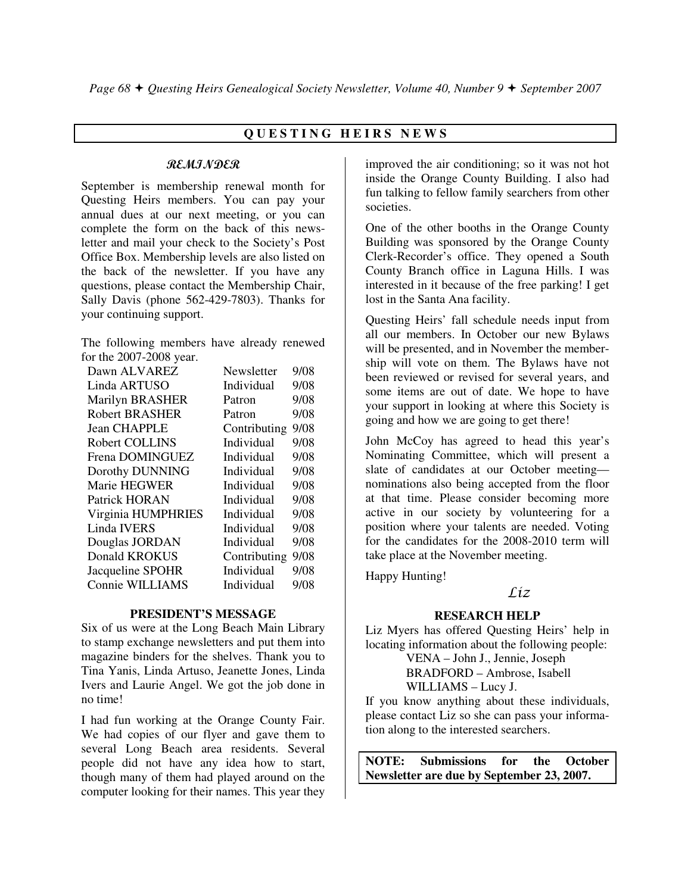# **Q U E S T I N G H E I R S N E W S**

#### REMINDER

September is membership renewal month for Questing Heirs members. You can pay your annual dues at our next meeting, or you can complete the form on the back of this newsletter and mail your check to the Society's Post Office Box. Membership levels are also listed on the back of the newsletter. If you have any questions, please contact the Membership Chair, Sally Davis (phone 562-429-7803). Thanks for your continuing support.

The following members have already renewed for the 2007-2008 year.

| Newsletter   | 9/08 |
|--------------|------|
| Individual   | 9/08 |
| Patron       | 9/08 |
| Patron       | 9/08 |
| Contributing | 9/08 |
| Individual   | 9/08 |
| Individual   | 9/08 |
| Individual   | 9/08 |
| Individual   | 9/08 |
| Individual   | 9/08 |
| Individual   | 9/08 |
| Individual   | 9/08 |
| Individual   | 9/08 |
| Contributing | 9/08 |
| Individual   | 9/08 |
| Individual   | 9/08 |
|              |      |

#### **PRESIDENT'S MESSAGE**

Six of us were at the Long Beach Main Library to stamp exchange newsletters and put them into magazine binders for the shelves. Thank you to Tina Yanis, Linda Artuso, Jeanette Jones, Linda Ivers and Laurie Angel. We got the job done in no time!

I had fun working at the Orange County Fair. We had copies of our flyer and gave them to several Long Beach area residents. Several people did not have any idea how to start, though many of them had played around on the computer looking for their names. This year they

improved the air conditioning; so it was not hot inside the Orange County Building. I also had fun talking to fellow family searchers from other societies.

One of the other booths in the Orange County Building was sponsored by the Orange County Clerk-Recorder's office. They opened a South County Branch office in Laguna Hills. I was interested in it because of the free parking! I get lost in the Santa Ana facility.

Questing Heirs' fall schedule needs input from all our members. In October our new Bylaws will be presented, and in November the membership will vote on them. The Bylaws have not been reviewed or revised for several years, and some items are out of date. We hope to have your support in looking at where this Society is going and how we are going to get there!

John McCoy has agreed to head this year's Nominating Committee, which will present a slate of candidates at our October meeting nominations also being accepted from the floor at that time. Please consider becoming more active in our society by volunteering for a position where your talents are needed. Voting for the candidates for the 2008-2010 term will take place at the November meeting.

Happy Hunting!

# $\int f(z)$

# **RESEARCH HELP**

Liz Myers has offered Questing Heirs' help in locating information about the following people:

 VENA – John J., Jennie, Joseph BRADFORD – Ambrose, Isabell

WILLIAMS – Lucy J.

If you know anything about these individuals, please contact Liz so she can pass your information along to the interested searchers.

**NOTE: Submissions for the October Newsletter are due by September 23, 2007.**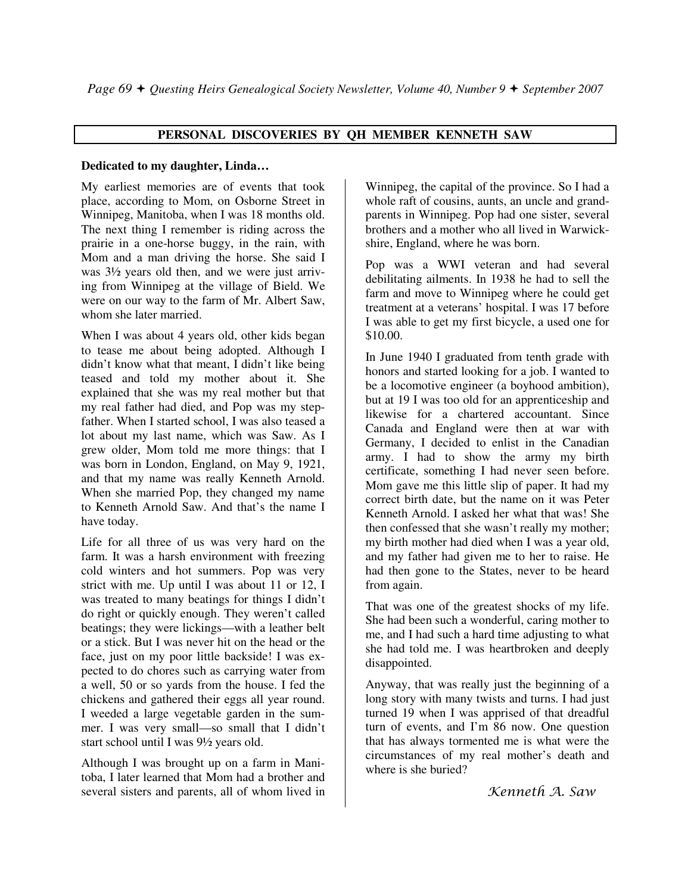# **PERSONAL DISCOVERIES BY QH MEMBER KENNETH SAW**

#### **Dedicated to my daughter, Linda…**

My earliest memories are of events that took place, according to Mom, on Osborne Street in Winnipeg, Manitoba, when I was 18 months old. The next thing I remember is riding across the prairie in a one-horse buggy, in the rain, with Mom and a man driving the horse. She said I was 3½ years old then, and we were just arriving from Winnipeg at the village of Bield. We were on our way to the farm of Mr. Albert Saw, whom she later married.

When I was about 4 years old, other kids began to tease me about being adopted. Although I didn't know what that meant, I didn't like being teased and told my mother about it. She explained that she was my real mother but that my real father had died, and Pop was my stepfather. When I started school, I was also teased a lot about my last name, which was Saw. As I grew older, Mom told me more things: that I was born in London, England, on May 9, 1921, and that my name was really Kenneth Arnold. When she married Pop, they changed my name to Kenneth Arnold Saw. And that's the name I have today.

Life for all three of us was very hard on the farm. It was a harsh environment with freezing cold winters and hot summers. Pop was very strict with me. Up until I was about 11 or 12, I was treated to many beatings for things I didn't do right or quickly enough. They weren't called beatings; they were lickings—with a leather belt or a stick. But I was never hit on the head or the face, just on my poor little backside! I was expected to do chores such as carrying water from a well, 50 or so yards from the house. I fed the chickens and gathered their eggs all year round. I weeded a large vegetable garden in the summer. I was very small—so small that I didn't start school until I was 9½ years old.

Although I was brought up on a farm in Manitoba, I later learned that Mom had a brother and several sisters and parents, all of whom lived in

Winnipeg, the capital of the province. So I had a whole raft of cousins, aunts, an uncle and grandparents in Winnipeg. Pop had one sister, several brothers and a mother who all lived in Warwickshire, England, where he was born.

Pop was a WWI veteran and had several debilitating ailments. In 1938 he had to sell the farm and move to Winnipeg where he could get treatment at a veterans' hospital. I was 17 before I was able to get my first bicycle, a used one for \$10.00.

In June 1940 I graduated from tenth grade with honors and started looking for a job. I wanted to be a locomotive engineer (a boyhood ambition), but at 19 I was too old for an apprenticeship and likewise for a chartered accountant. Since Canada and England were then at war with Germany, I decided to enlist in the Canadian army. I had to show the army my birth certificate, something I had never seen before. Mom gave me this little slip of paper. It had my correct birth date, but the name on it was Peter Kenneth Arnold. I asked her what that was! She then confessed that she wasn't really my mother; my birth mother had died when I was a year old, and my father had given me to her to raise. He had then gone to the States, never to be heard from again.

That was one of the greatest shocks of my life. She had been such a wonderful, caring mother to me, and I had such a hard time adjusting to what she had told me. I was heartbroken and deeply disappointed.

Anyway, that was really just the beginning of a long story with many twists and turns. I had just turned 19 when I was apprised of that dreadful turn of events, and I'm 86 now. One question that has always tormented me is what were the circumstances of my real mother's death and where is she buried?

Kenneth A. Saw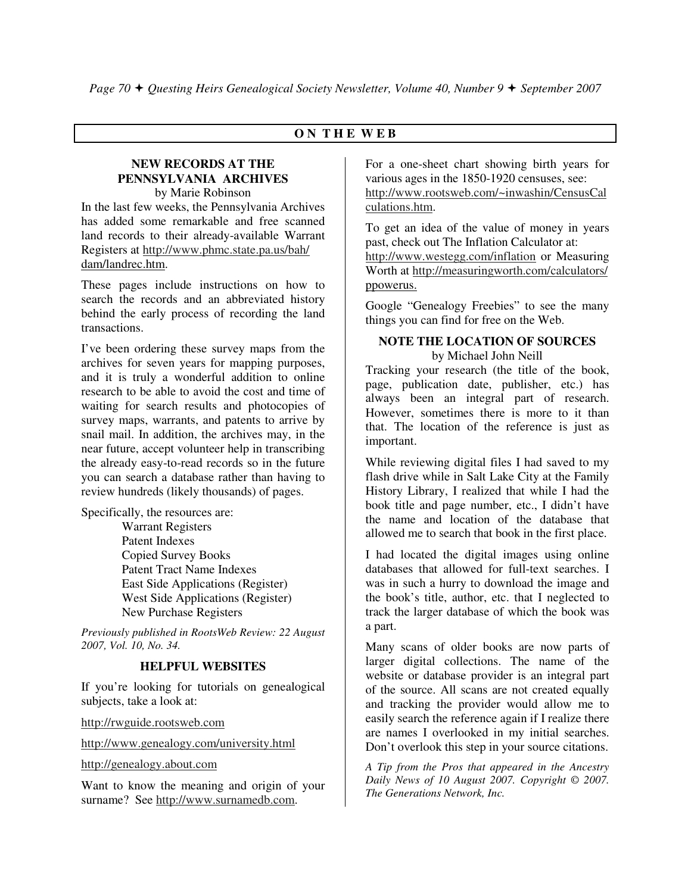# **O N T H E W E B**

# **NEW RECORDS AT THE PENNSYLVANIA ARCHIVES**

by Marie Robinson In the last few weeks, the Pennsylvania Archives has added some remarkable and free scanned land records to their already-available Warrant Registers at http://www.phmc.state.pa.us/bah/ dam/landrec.htm.

These pages include instructions on how to search the records and an abbreviated history behind the early process of recording the land transactions.

I've been ordering these survey maps from the archives for seven years for mapping purposes, and it is truly a wonderful addition to online research to be able to avoid the cost and time of waiting for search results and photocopies of survey maps, warrants, and patents to arrive by snail mail. In addition, the archives may, in the near future, accept volunteer help in transcribing the already easy-to-read records so in the future you can search a database rather than having to review hundreds (likely thousands) of pages.

Specifically, the resources are:

 Warrant Registers Patent Indexes Copied Survey Books Patent Tract Name Indexes East Side Applications (Register) West Side Applications (Register) New Purchase Registers

*Previously published in RootsWeb Review: 22 August 2007, Vol. 10, No. 34.* 

# **HELPFUL WEBSITES**

If you're looking for tutorials on genealogical subjects, take a look at:

http://rwguide.rootsweb.com

http://www.genealogy.com/university.html

http://genealogy.about.com

Want to know the meaning and origin of your surname? See http://www.surnamedb.com.

For a one-sheet chart showing birth years for various ages in the 1850-1920 censuses, see: http://www.rootsweb.com/~inwashin/CensusCal culations.htm.

To get an idea of the value of money in years past, check out The Inflation Calculator at: http://www.westegg.com/inflation or Measuring Worth at http://measuringworth.com/calculators/ ppowerus.

Google "Genealogy Freebies" to see the many things you can find for free on the Web.

#### **NOTE THE LOCATION OF SOURCES** by Michael John Neill

Tracking your research (the title of the book, page, publication date, publisher, etc.) has always been an integral part of research. However, sometimes there is more to it than that. The location of the reference is just as important.

While reviewing digital files I had saved to my flash drive while in Salt Lake City at the Family History Library, I realized that while I had the book title and page number, etc., I didn't have the name and location of the database that allowed me to search that book in the first place.

I had located the digital images using online databases that allowed for full-text searches. I was in such a hurry to download the image and the book's title, author, etc. that I neglected to track the larger database of which the book was a part.

Many scans of older books are now parts of larger digital collections. The name of the website or database provider is an integral part of the source. All scans are not created equally and tracking the provider would allow me to easily search the reference again if I realize there are names I overlooked in my initial searches. Don't overlook this step in your source citations.

*A Tip from the Pros that appeared in the Ancestry Daily News of 10 August 2007. Copyright © 2007. The Generations Network, Inc.*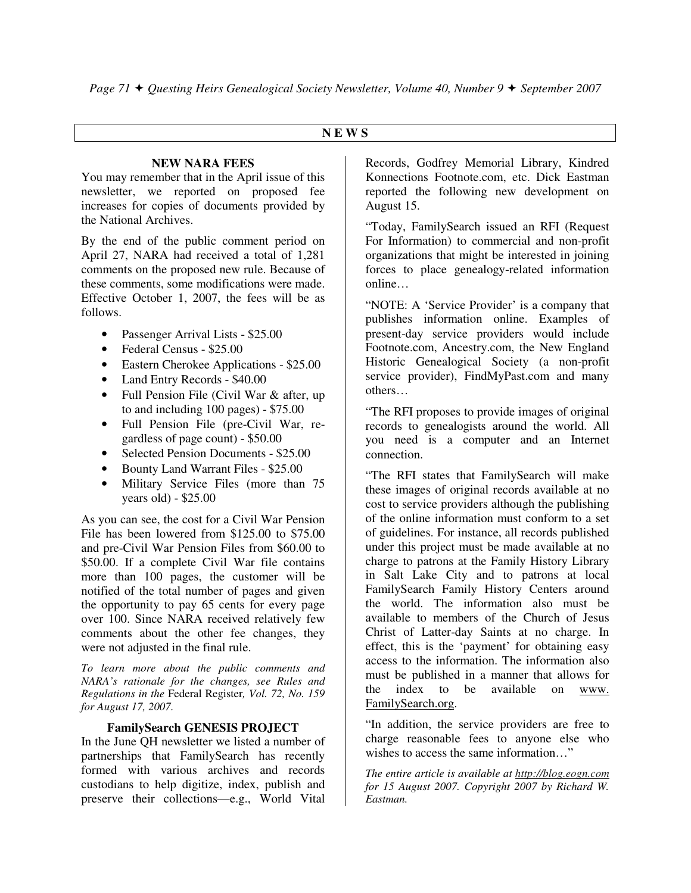# **N E W S**

#### **NEW NARA FEES**

You may remember that in the April issue of this newsletter, we reported on proposed fee increases for copies of documents provided by the National Archives.

By the end of the public comment period on April 27, NARA had received a total of 1,281 comments on the proposed new rule. Because of these comments, some modifications were made. Effective October 1, 2007, the fees will be as follows.

- Passenger Arrival Lists \$25.00
- Federal Census \$25.00
- Eastern Cherokee Applications \$25.00
- Land Entry Records \$40.00
- Full Pension File (Civil War & after, up to and including 100 pages) - \$75.00
- Full Pension File (pre-Civil War, regardless of page count) - \$50.00
- Selected Pension Documents \$25.00
- Bounty Land Warrant Files \$25.00
- Military Service Files (more than 75 years old) - \$25.00

As you can see, the cost for a Civil War Pension File has been lowered from \$125.00 to \$75.00 and pre-Civil War Pension Files from \$60.00 to \$50.00. If a complete Civil War file contains more than 100 pages, the customer will be notified of the total number of pages and given the opportunity to pay 65 cents for every page over 100. Since NARA received relatively few comments about the other fee changes, they were not adjusted in the final rule.

*To learn more about the public comments and NARA's rationale for the changes, see Rules and Regulations in the* Federal Register*, Vol. 72, No. 159 for August 17, 2007.* 

# **FamilySearch GENESIS PROJECT**

In the June QH newsletter we listed a number of partnerships that FamilySearch has recently formed with various archives and records custodians to help digitize, index, publish and preserve their collections—e.g., World Vital Records, Godfrey Memorial Library, Kindred Konnections Footnote.com, etc. Dick Eastman reported the following new development on August 15.

"Today, FamilySearch issued an RFI (Request For Information) to commercial and non-profit organizations that might be interested in joining forces to place genealogy-related information online…

"NOTE: A 'Service Provider' is a company that publishes information online. Examples of present-day service providers would include Footnote.com, Ancestry.com, the New England Historic Genealogical Society (a non-profit service provider), FindMyPast.com and many others…

"The RFI proposes to provide images of original records to genealogists around the world. All you need is a computer and an Internet connection.

"The RFI states that FamilySearch will make these images of original records available at no cost to service providers although the publishing of the online information must conform to a set of guidelines. For instance, all records published under this project must be made available at no charge to patrons at the Family History Library in Salt Lake City and to patrons at local FamilySearch Family History Centers around the world. The information also must be available to members of the Church of Jesus Christ of Latter-day Saints at no charge. In effect, this is the 'payment' for obtaining easy access to the information. The information also must be published in a manner that allows for the index to be available on www. FamilySearch.org.

"In addition, the service providers are free to charge reasonable fees to anyone else who wishes to access the same information…"

*The entire article is available at http://blog.eogn.com for 15 August 2007. Copyright 2007 by Richard W. Eastman.*